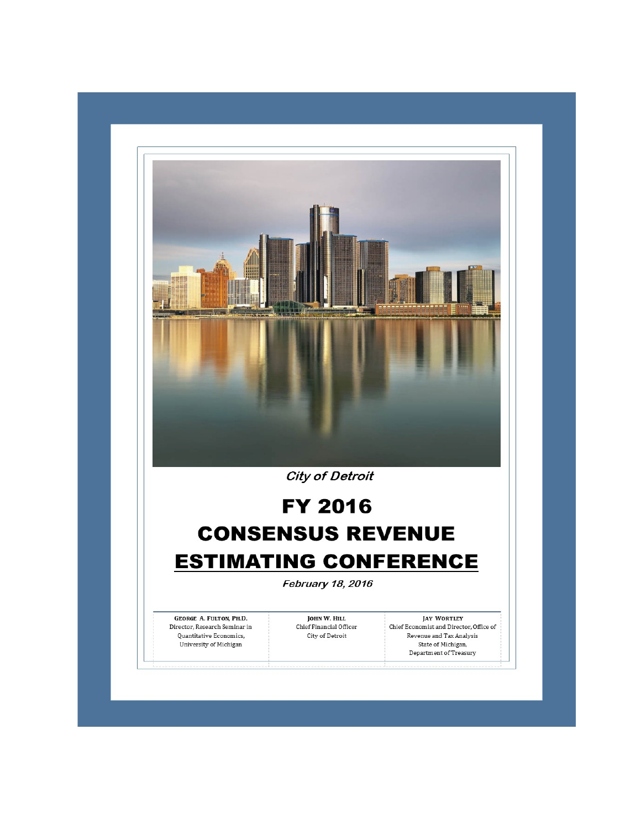

**City of Detroit** 

# **FY 2016 CONSENSUS REVENUE ESTIMATING CONFERENCE**

February 18, 2016

**GEORGE A. FULTON, PH.D.** Director, Research Seminar in Quantitative Economics, University of Michigan

JOHN W. HILL Chief Financial Officer City of Detroit

**JAY WORTLEY** Chief Economist and Director, Office of Revenue and Tax Analysis State of Michigan, Department of Treasury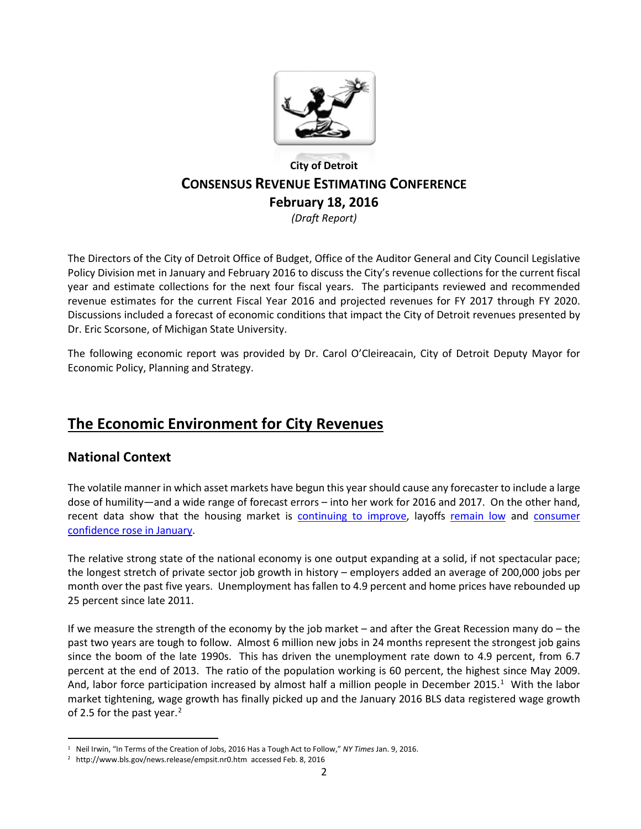

### **City of Detroit CONSENSUS REVENUE ESTIMATING CONFERENCE February 18, 2016** *(Draft Report)*

The Directors of the City of Detroit Office of Budget, Office of the Auditor General and City Council Legislative Policy Division met in January and February 2016 to discuss the City's revenue collections for the current fiscal year and estimate collections for the next four fiscal years. The participants reviewed and recommended revenue estimates for the current Fiscal Year 2016 and projected revenues for FY 2017 through FY 2020. Discussions included a forecast of economic conditions that impact the City of Detroit revenues presented by Dr. Eric Scorsone, of Michigan State University.

The following economic report was provided by Dr. Carol O'Cleireacain, City of Detroit Deputy Mayor for Economic Policy, Planning and Strategy.

# **The Economic Environment for City Revenues**

### **National Context**

The volatile manner in which asset markets have begun this year should cause any forecaster to include a large dose of humility—and a wide range of forecast errors – into her work for 2016 and 2017. On the other hand, recent data show that the housing market is [continuing to improve,](http://www.nbcnews.com/business/real-estate/u-s-home-prices-rise-5-8-november-hit-all-n504416) layoffs [remain low](http://www.bloomberg.com/news/articles/2016-01-28/jobless-claims-in-u-s-decreased-to-278-000-last-week) and [consumer](http://www.cnbc.com/2016/01/26/conference-board-reports-consumer-confidence-for-january-2016.html)  [confidence rose in January.](http://www.cnbc.com/2016/01/26/conference-board-reports-consumer-confidence-for-january-2016.html)

The relative strong state of the national economy is one output expanding at a solid, if not spectacular pace; the longest stretch of private sector job growth in history – employers added an average of 200,000 jobs per month over the past five years. Unemployment has fallen to 4.9 percent and home prices have rebounded up 25 percent since late 2011.

If we measure the strength of the economy by the job market – and after the Great Recession many do – the past two years are tough to follow. Almost 6 million new jobs in 24 months represent the strongest job gains since the boom of the late 1990s. This has driven the unemployment rate down to 4.9 percent, from 6.7 percent at the end of 2013. The ratio of the population working is 60 percent, the highest since May 2009. And, labor force participation increased by almost half a million people in December 20[1](#page-1-0)5.<sup>1</sup> With the labor market tightening, wage growth has finally picked up and the January 2016 BLS data registered wage growth of [2](#page-1-1).5 for the past year.<sup>2</sup>

<span id="page-1-0"></span><sup>&</sup>lt;sup>1</sup> Neil Irwin, "In Terms of the Creation of Jobs, 2016 Has a Tough Act to Follow," *NY Times Jan.* 9, 2016.<br><sup>2</sup> http://www.bls.gov/news.release/empsit.nr0.htm accessed Feb. 8, 2016

<span id="page-1-1"></span>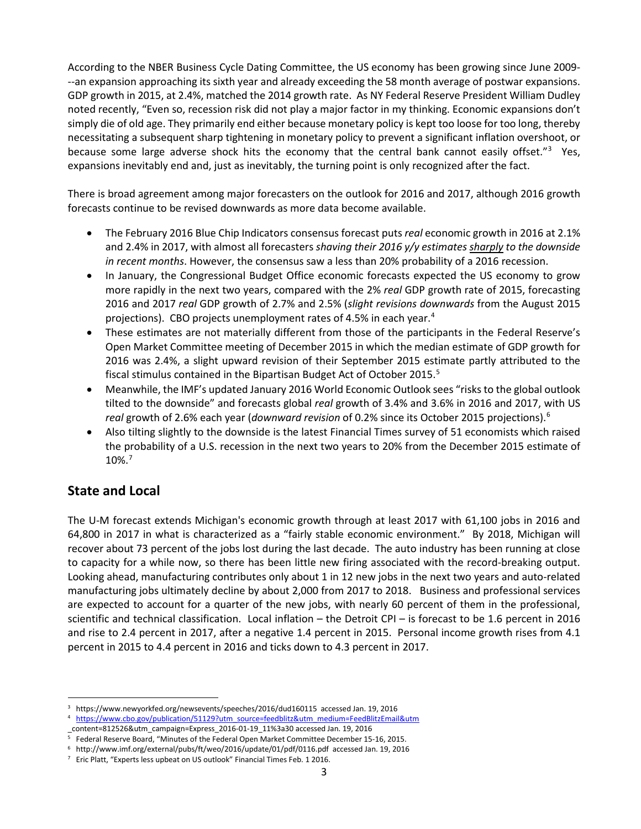According to the NBER Business Cycle Dating Committee, the US economy has been growing since June 2009- --an expansion approaching its sixth year and already exceeding the 58 month average of postwar expansions. GDP growth in 2015, at 2.4%, matched the 2014 growth rate. As NY Federal Reserve President William Dudley noted recently, "Even so, recession risk did not play a major factor in my thinking. Economic expansions don't simply die of old age. They primarily end either because monetary policy is kept too loose for too long, thereby necessitating a subsequent sharp tightening in monetary policy to prevent a significant inflation overshoot, or because some large adverse shock hits the economy that the central bank cannot easily offset."<sup>[3](#page-2-0)</sup> Yes, expansions inevitably end and, just as inevitably, the turning point is only recognized after the fact.

There is broad agreement among major forecasters on the outlook for 2016 and 2017, although 2016 growth forecasts continue to be revised downwards as more data become available.

- The February 2016 Blue Chip Indicators consensus forecast puts *real* economic growth in 2016 at 2.1% and 2.4% in 2017, with almost all forecasters *shaving their 2016 y/y estimates sharply to the downside in recent months*. However, the consensus saw a less than 20% probability of a 2016 recession.
- In January, the Congressional Budget Office economic forecasts expected the US economy to grow more rapidly in the next two years, compared with the 2% *real* GDP growth rate of 2015, forecasting 2016 and 2017 *real* GDP growth of 2.7% and 2.5% (*slight revisions downwards* from the August 2015 projections). CBO projects unemployment rates of [4](#page-2-1).5% in each year.<sup>4</sup>
- These estimates are not materially different from those of the participants in the Federal Reserve's Open Market Committee meeting of December 2015 in which the median estimate of GDP growth for 2016 was 2.4%, a slight upward revision of their September 2015 estimate partly attributed to the fiscal stimulus contained in the Bipartisan Budget Act of October 2015.[5](#page-2-2)
- Meanwhile, the IMF's updated January 2016 World Economic Outlook sees "risks to the global outlook tilted to the downside" and forecasts global *real* growth of 3.4% and 3.6% in 2016 and 2017, with US *real* growth of 2.6% each year (*downward revision* of 0.2% since its October 2015 projections).[6](#page-2-3)
- Also tilting slightly to the downside is the latest Financial Times survey of 51 economists which raised the probability of a U.S. recession in the next two years to 20% from the December 2015 estimate of 10%.[7](#page-2-4)

### **State and Local**

The U-M forecast extends Michigan's economic growth through at least 2017 with 61,100 jobs in 2016 and 64,800 in 2017 in what is characterized as a "fairly stable economic environment." By 2018, Michigan will recover about 73 percent of the jobs lost during the last decade. The auto industry has been running at close to capacity for a while now, so there has been little new firing associated with the record-breaking output. Looking ahead, manufacturing contributes only about 1 in 12 new jobs in the next two years and auto-related manufacturing jobs ultimately decline by about 2,000 from 2017 to 2018. Business and professional services are expected to account for a quarter of the new jobs, with nearly 60 percent of them in the professional, scientific and technical classification. Local inflation – the Detroit CPI – is forecast to be 1.6 percent in 2016 and rise to 2.4 percent in 2017, after a negative 1.4 percent in 2015. Personal income growth rises from 4.1 percent in 2015 to 4.4 percent in 2016 and ticks down to 4.3 percent in 2017.

<span id="page-2-1"></span><span id="page-2-0"></span> <sup>3</sup> https://www.newyorkfed.org/newsevents/speeches/2016/dud160115 accessed Jan. 19, 2016

<sup>4</sup> [https://www.cbo.gov/publication/51129?utm\\_source=feedblitz&utm\\_medium=FeedBlitzEmail&utm](https://www.cbo.gov/publication/51129?utm_source=feedblitz&utm_medium=FeedBlitzEmail&utm)

\_content=812526&utm\_campaign=Express\_2016-01-19\_11%3a30 accessed Jan. 19, 2016

<span id="page-2-2"></span><sup>5</sup> Federal Reserve Board, "Minutes of the Federal Open Market Committee December 15-16, 2015.

<span id="page-2-4"></span><span id="page-2-3"></span><sup>6</sup> http://www.imf.org/external/pubs/ft/weo/2016/update/01/pdf/0116.pdf accessed Jan. 19, 2016

<sup>&</sup>lt;sup>7</sup> Eric Platt, "Experts less upbeat on US outlook" Financial Times Feb. 1 2016.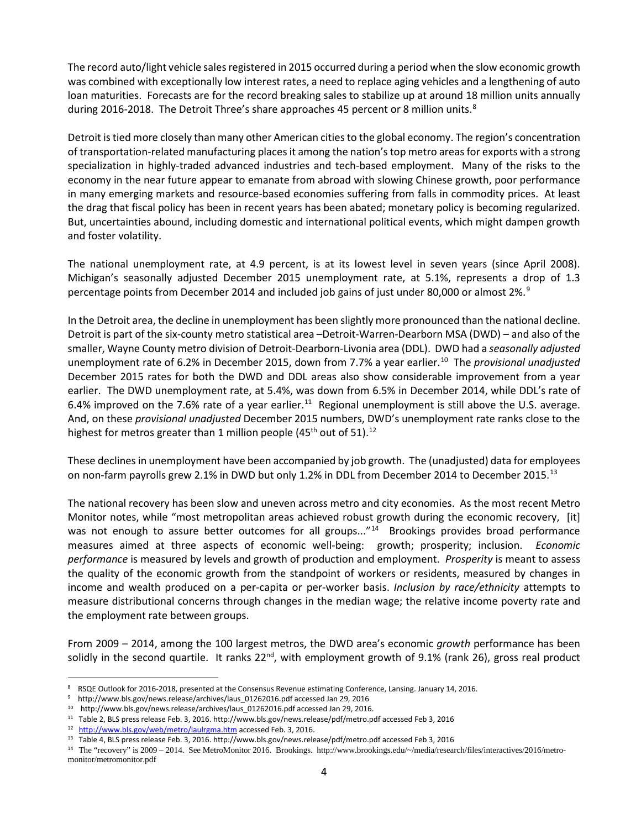The record auto/light vehicle sales registered in 2015 occurred during a period when the slow economic growth was combined with exceptionally low interest rates, a need to replace aging vehicles and a lengthening of auto loan maturities. Forecasts are for the record breaking sales to stabilize up at around 18 million units annually during 2016-201[8](#page-3-0). The Detroit Three's share approaches 45 percent or 8 million units.<sup>8</sup>

Detroit is tied more closely than many other American cities to the global economy. The region's concentration of transportation-related manufacturing places it among the nation's top metro areas for exports with a strong specialization in highly-traded advanced industries and tech-based employment. Many of the risks to the economy in the near future appear to emanate from abroad with slowing Chinese growth, poor performance in many emerging markets and resource-based economies suffering from falls in commodity prices. At least the drag that fiscal policy has been in recent years has been abated; monetary policy is becoming regularized. But, uncertainties abound, including domestic and international political events, which might dampen growth and foster volatility.

The national unemployment rate, at 4.9 percent, is at its lowest level in seven years (since April 2008). Michigan's seasonally adjusted December 2015 unemployment rate, at 5.1%, represents a drop of 1.3 percentage points from December 2014 and included job gains of just under 80,000 or almost 2%.<sup>[9](#page-3-1)</sup>

In the Detroit area, the decline in unemployment has been slightly more pronounced than the national decline. Detroit is part of the six-county metro statistical area –Detroit-Warren-Dearborn MSA (DWD) – and also of the smaller, Wayne County metro division of Detroit-Dearborn-Livonia area (DDL). DWD had a *seasonally adjusted* unemployment rate of 6.2% in December 2015, down from 7.7% a year earlier.<sup>[10](#page-3-2)</sup> The *provisional unadjusted* December 2015 rates for both the DWD and DDL areas also show considerable improvement from a year earlier. The DWD unemployment rate, at 5.4%, was down from 6.5% in December 2014, while DDL's rate of 6.4% improved on the 7.6% rate of a year earlier.<sup>11</sup> Regional unemployment is still above the U.S. average. And, on these *provisional unadjusted* December 2015 numbers, DWD's unemployment rate ranks close to the highest for metros greater than 1 million people  $(45<sup>th</sup>$  out of 51).<sup>[12](#page-3-4)</sup>

These declines in unemployment have been accompanied by job growth. The (unadjusted) data for employees on non-farm payrolls grew 2.1% in DWD but only 1.2% in DDL from December 2014 to December 2015.<sup>13</sup>

The national recovery has been slow and uneven across metro and city economies. As the most recent Metro Monitor notes, while "most metropolitan areas achieved robust growth during the economic recovery, [it] was not enough to assure better outcomes for all groups..."<sup>14</sup> Brookings provides broad performance measures aimed at three aspects of economic well-being: growth; prosperity; inclusion. *Economic performance* is measured by levels and growth of production and employment. *Prosperity* is meant to assess the quality of the economic growth from the standpoint of workers or residents, measured by changes in income and wealth produced on a per-capita or per-worker basis. *Inclusion by race/ethnicity* attempts to measure distributional concerns through changes in the median wage; the relative income poverty rate and the employment rate between groups.

From 2009 – 2014, among the 100 largest metros, the DWD area's economic *growth* performance has been solidly in the second quartile. It ranks 22<sup>nd</sup>, with employment growth of 9.1% (rank 26), gross real product

<span id="page-3-0"></span><sup>8</sup> RSQE Outlook for 2016-2018, presented at the Consensus Revenue estimating Conference, Lansing. January 14, 2016.

<span id="page-3-1"></span><sup>9</sup> http://www.bls.gov/news.release/archives/laus\_01262016.pdf accessed Jan 29, 2016

<span id="page-3-2"></span><sup>10</sup> http://www.bls.gov/news.release/archives/laus\_01262016.pdf accessed Jan 29, 2016.

<span id="page-3-3"></span><sup>11</sup> Table 2, BLS press release Feb. 3, 2016. http://www.bls.gov/news.release/pdf/metro.pdf accessed Feb 3, 2016

<span id="page-3-4"></span><sup>12</sup> <http://www.bls.gov/web/metro/laulrgma.htm> accessed Feb. 3, 2016.

<span id="page-3-6"></span><span id="page-3-5"></span><sup>13</sup> Table 4, BLS press release Feb. 3, 2016. http://www.bls.gov/news.release/pdf/metro.pdf accessed Feb 3, 2016

<sup>14</sup> The "recovery" is 2009 – 2014. See MetroMonitor 2016. Brookings. http://www.brookings.edu/~/media/research/files/interactives/2016/metromonitor/metromonitor.pdf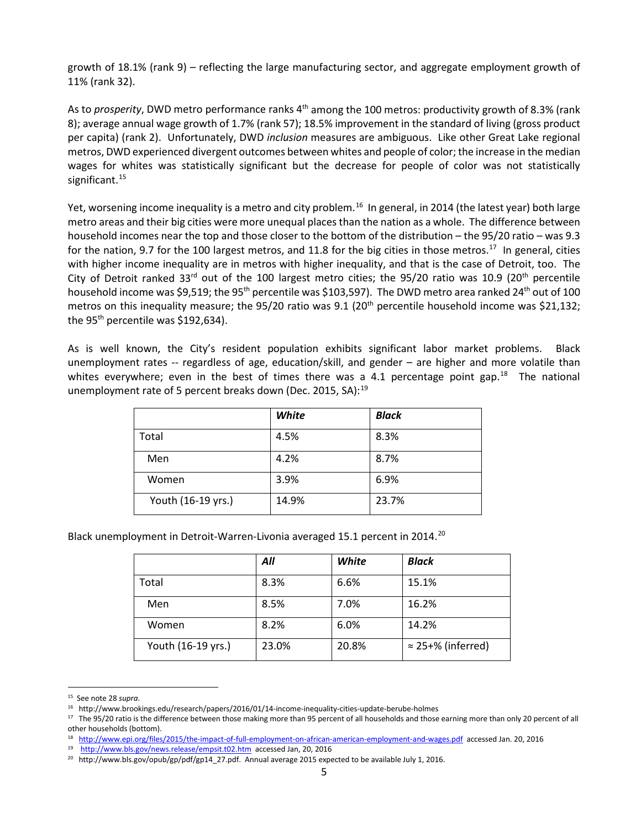growth of 18.1% (rank 9) – reflecting the large manufacturing sector, and aggregate employment growth of 11% (rank 32).

As to *prosperity*, DWD metro performance ranks 4<sup>th</sup> among the 100 metros: productivity growth of 8.3% (rank 8); average annual wage growth of 1.7% (rank 57); 18.5% improvement in the standard of living (gross product per capita) (rank 2). Unfortunately, DWD *inclusion* measures are ambiguous. Like other Great Lake regional metros, DWD experienced divergent outcomes between whites and people of color; the increase in the median wages for whites was statistically significant but the decrease for people of color was not statistically significant.<sup>15</sup>

Yet, worsening income inequality is a metro and city problem.<sup>16</sup> In general, in 2014 (the latest year) both large metro areas and their big cities were more unequal places than the nation as a whole. The difference between household incomes near the top and those closer to the bottom of the distribution – the 95/20 ratio – was 9.3 for the nation, 9.7 for the 100 largest metros, and 11.8 for the big cities in those metros.<sup>[17](#page-4-2)</sup> In general, cities with higher income inequality are in metros with higher inequality, and that is the case of Detroit, too. The City of Detroit ranked 33<sup>rd</sup> out of the 100 largest metro cities; the 95/20 ratio was 10.9 (20<sup>th</sup> percentile household income was \$9,519; the 95<sup>th</sup> percentile was \$103,597). The DWD metro area ranked 24<sup>th</sup> out of 100 metros on this inequality measure; the 95/20 ratio was 9.1 (20<sup>th</sup> percentile household income was \$21,132; the  $95<sup>th</sup>$  percentile was \$192,634).

As is well known, the City's resident population exhibits significant labor market problems. Black unemployment rates -- regardless of age, education/skill, and gender – are higher and more volatile than whites everywhere; even in the best of times there was a 4.1 percentage point gap.<sup>[18](#page-4-3)</sup> The national unemployment rate of 5 percent breaks down (Dec. 2015, SA):<sup>[19](#page-4-4)</sup>

|                    | White | <b>Black</b> |
|--------------------|-------|--------------|
| Total              | 4.5%  | 8.3%         |
| Men                | 4.2%  | 8.7%         |
| Women              | 3.9%  | 6.9%         |
| Youth (16-19 yrs.) | 14.9% | 23.7%        |

Black unemployment in Detroit-Warren-Livonia averaged 15.1 percent in [20](#page-4-5)14.<sup>20</sup>

|                    | All   | White | <b>Black</b>              |
|--------------------|-------|-------|---------------------------|
| Total              | 8.3%  | 6.6%  | 15.1%                     |
| Men                | 8.5%  | 7.0%  | 16.2%                     |
| Women              | 8.2%  | 6.0%  | 14.2%                     |
| Youth (16-19 yrs.) | 23.0% | 20.8% | $\approx$ 25+% (inferred) |

<span id="page-4-1"></span><span id="page-4-0"></span><sup>&</sup>lt;sup>15</sup> See note 28 *supra*.<br><sup>16</sup> http://www.brookings.edu/research/papers/2016/01/14-income-inequality-cities-update-berube-holmes

<span id="page-4-2"></span><sup>&</sup>lt;sup>17</sup> The 95/20 ratio is the difference between those making more than 95 percent of all households and those earning more than only 20 percent of all other households (bottom).

<span id="page-4-3"></span><sup>18</sup> <http://www.epi.org/files/2015/the-impact-of-full-employment-on-african-american-employment-and-wages.pdf>accessed Jan. 20, 2016

<span id="page-4-4"></span><sup>19</sup> <http://www.bls.gov/news.release/empsit.t02.htm>accessed Jan, 20, 2016

<span id="page-4-5"></span><sup>&</sup>lt;sup>20</sup> http://www.bls.gov/opub/gp/pdf/gp14\_27.pdf. Annual average 2015 expected to be available July 1, 2016.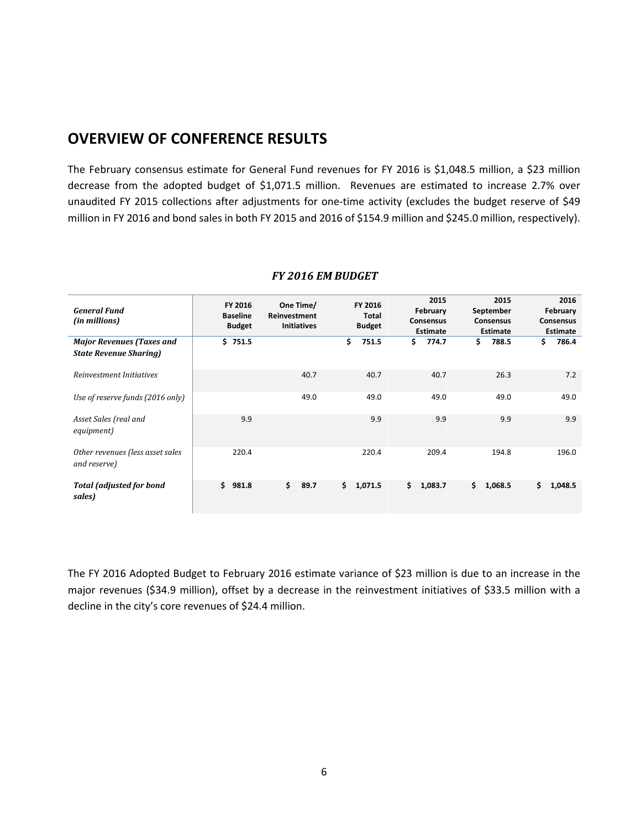# **OVERVIEW OF CONFERENCE RESULTS**

L

The February consensus estimate for General Fund revenues for FY 2016 is \$1,048.5 million, a \$23 million decrease from the adopted budget of \$1,071.5 million. Revenues are estimated to increase 2.7% over unaudited FY 2015 collections after adjustments for one-time activity (excludes the budget reserve of \$49 million in FY 2016 and bond sales in both FY 2015 and 2016 of \$154.9 million and \$245.0 million, respectively).

| <b>General Fund</b><br>(in millions)                              | FY 2016<br><b>Baseline</b><br><b>Budget</b> | One Time/<br>Reinvestment<br><b>Initiatives</b> | FY 2016<br><b>Total</b><br><b>Budget</b> | 2015<br>February<br><b>Consensus</b><br><b>Estimate</b> | 2015<br>September<br><b>Consensus</b><br><b>Estimate</b> | 2016<br>February<br><b>Consensus</b><br><b>Estimate</b> |
|-------------------------------------------------------------------|---------------------------------------------|-------------------------------------------------|------------------------------------------|---------------------------------------------------------|----------------------------------------------------------|---------------------------------------------------------|
| <b>Major Revenues (Taxes and</b><br><b>State Revenue Sharing)</b> | \$751.5                                     |                                                 | \$<br>751.5                              | \$<br>774.7                                             | \$.<br>788.5                                             | \$<br>786.4                                             |
| Reinvestment Initiatives                                          |                                             | 40.7                                            | 40.7                                     | 40.7                                                    | 26.3                                                     | 7.2                                                     |
| Use of reserve funds (2016 only)                                  |                                             | 49.0                                            | 49.0                                     | 49.0                                                    | 49.0                                                     | 49.0                                                    |
| Asset Sales (real and<br>equipment)                               | 9.9                                         |                                                 | 9.9                                      | 9.9                                                     | 9.9                                                      | 9.9                                                     |
| Other revenues (less asset sales<br>and reserve)                  | 220.4                                       |                                                 | 220.4                                    | 209.4                                                   | 194.8                                                    | 196.0                                                   |
| <b>Total (adjusted for bond</b><br>sales)                         | \$<br>981.8                                 | \$<br>89.7                                      | 1,071.5<br>\$                            | \$<br>1,083.7                                           | \$<br>1,068.5                                            | 1,048.5<br>\$.                                          |

#### *FY 2016 EM BUDGET*

The FY 2016 Adopted Budget to February 2016 estimate variance of \$23 million is due to an increase in the major revenues (\$34.9 million), offset by a decrease in the reinvestment initiatives of \$33.5 million with a decline in the city's core revenues of \$24.4 million.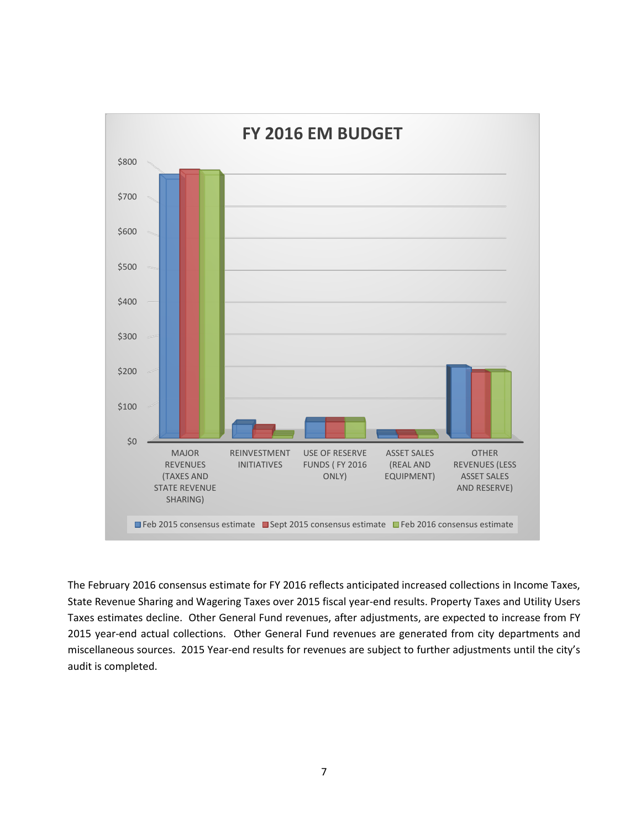

The February 2016 consensus estimate for FY 2016 reflects anticipated increased collections in Income Taxes, State Revenue Sharing and Wagering Taxes over 2015 fiscal year-end results. Property Taxes and Utility Users Taxes estimates decline. Other General Fund revenues, after adjustments, are expected to increase from FY 2015 year-end actual collections. Other General Fund revenues are generated from city departments and miscellaneous sources. 2015 Year-end results for revenues are subject to further adjustments until the city's audit is completed.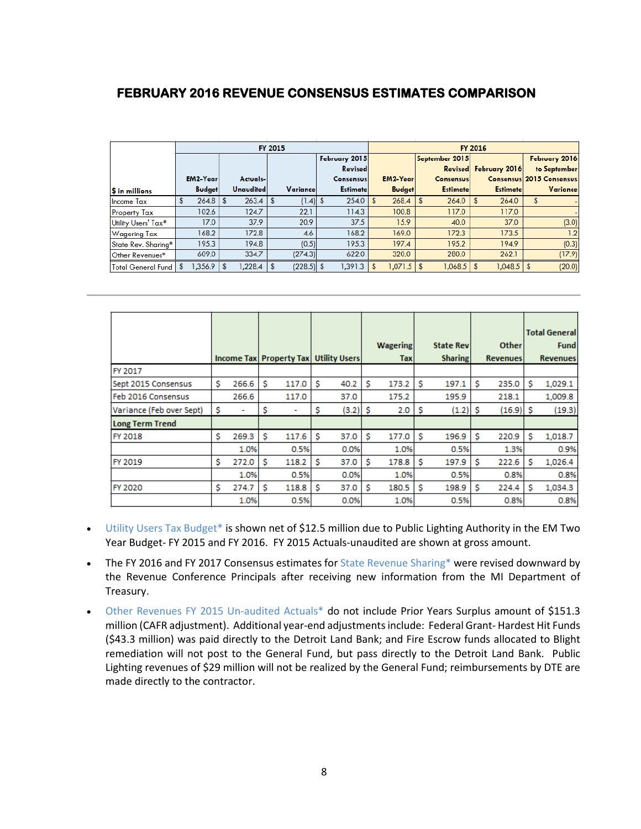#### **FEBRUARY 2016 REVENUE CONSENSUS ESTIMATES COMPARISON**

|                             | <b>FY 2015</b> |                 |  |                  |   |              |  |                  | <b>FY 2016</b> |                 |  |                  |  |                          |  |                 |
|-----------------------------|----------------|-----------------|--|------------------|---|--------------|--|------------------|----------------|-----------------|--|------------------|--|--------------------------|--|-----------------|
|                             |                |                 |  |                  |   |              |  | February 2015    |                |                 |  | September 2015   |  |                          |  | February 2016   |
|                             |                |                 |  |                  |   |              |  | Revised          |                |                 |  |                  |  | Revised February 2016    |  | to September    |
|                             |                | <b>EM2-Year</b> |  | Actuals-         |   |              |  | <b>Consensus</b> |                | <b>EM2-Year</b> |  | <b>Consensus</b> |  | Consensus 2015 Consensus |  |                 |
| <b>S</b> in millions        |                | <b>Budget</b>   |  | <b>Unaudited</b> |   | Variance     |  | <b>Estimate</b>  |                | <b>Budget</b>   |  | <b>Estimate</b>  |  | <b>Estimate</b>          |  | <b>Variance</b> |
| <b>Income Tax</b>           |                |                 |  | 263.4            | s | $(1.4)$ S    |  | 254.0            |                | 268.4           |  | 264.0            |  | 264.0                    |  |                 |
| Property Tax                |                | 102.6           |  | 124.7            |   | 22.1         |  | 114.3            |                | 100.8           |  | 117.0            |  | 117.0                    |  |                 |
| Utility Users' Tax*         |                | 17.0            |  | 37.9             |   | 20.9         |  | 37.5             |                | 15.9            |  | 40.0             |  | 37.0                     |  | (3.0)           |
| <b>Wagering Tax</b>         |                | 168.2           |  | 172.8            |   | 4.6          |  | 168.2            |                | 169.0           |  | 172.3            |  | 173.5                    |  | 1.2             |
| State Rev. Sharina*         |                | 195.3           |  | 194.8            |   | (0.5)        |  | 195.3            |                | 197.4           |  | 195.2            |  | 194.9                    |  | (0.3)           |
| Other Revenues*             |                | 609.0           |  | 334.7            |   | (274.3)      |  | 622.0            |                | 320.0           |  | 280.0            |  | 262.1                    |  | (17.9)          |
| <b>Total General Fund  </b> |                | $1,356.9$ S     |  | 1,228.4          |   | $(228.5)$ \$ |  | 1,391.3          | S              | $1,071.5$ \ \$  |  |                  |  |                          |  | (20.0)          |

|                          |    |       |    |                                           |    |            |    |                 |     |                   |    |                 |   | <b>Total General</b> |
|--------------------------|----|-------|----|-------------------------------------------|----|------------|----|-----------------|-----|-------------------|----|-----------------|---|----------------------|
|                          |    |       |    |                                           |    |            |    | <b>Wagering</b> |     | <b>State Revi</b> |    | <b>Other</b>    |   | <b>Fund</b>          |
|                          |    |       |    | Income Tax   Property Tax   Utility Users |    |            |    | Taxl            |     | <b>Sharing</b>    |    | <b>Revenues</b> |   | <b>Revenues</b>      |
| FY 2017                  |    |       |    |                                           |    |            |    |                 |     |                   |    |                 |   |                      |
| Sept 2015 Consensus      | \$ | 266.6 | \$ | 117.0                                     | \$ | 40.2       | s  | 173.2           | \$  | 197.1             | s  | 235.0           | s | 1,029.1              |
| Feb 2016 Consensus       |    | 266.6 |    | 117.0                                     |    | 37.0       |    | 175.2           |     | 195.9             |    | 218.1           |   | 1,009.8              |
| Variance (Feb over Sept) | -S |       | Ş. |                                           | \$ | $(3.2)$ \$ |    | 2.0             | -\$ | $(1.2)$ \$        |    | $(16.9)$ \$     |   | (19.3)               |
| <b>Long Term Trend</b>   |    |       |    |                                           |    |            |    |                 |     |                   |    |                 |   |                      |
| FY 2018                  | s  | 269.3 | \$ | 117.6                                     | s  | 37.0       | s  | 177.0           | s   | 196.9             | \$ | 220.9           | s | 1,018.7              |
|                          |    | 1.0%  |    | 0.5%                                      |    | 0.0%       |    | 1.0%            |     | 0.5%              |    | 1.3%            |   | 0.9%                 |
| FY 2019                  | s  | 272.0 | s  | 118.2                                     | s  | 37.0       | S  | 178.8           | s   | 197.9             | s  | 222.6           | s | 1,026.4              |
|                          |    | 1.0%  |    | 0.5%                                      |    | 0.0%       |    | 1.0%            |     | 0.5%              |    | 0.8%            |   | 0.8%                 |
| FY 2020                  | \$ | 274.7 | Ś. | 118.8                                     | \$ | 37.0       | \$ | 180.5           | s   | 198.9             | -S | 224.4           | s | 1,034.3              |
|                          |    | 1.0%  |    | 0.5%                                      |    | 0.0%       |    | 1.0%            |     | 0.5%              |    | 0.8%            |   | 0.8%                 |

- Utility Users Tax Budget\* is shown net of \$12.5 million due to Public Lighting Authority in the EM Two Year Budget- FY 2015 and FY 2016. FY 2015 Actuals-unaudited are shown at gross amount.
- The FY 2016 and FY 2017 Consensus estimates for State Revenue Sharing\* were revised downward by the Revenue Conference Principals after receiving new information from the MI Department of Treasury.
- Other Revenues FY 2015 Un-audited Actuals\* do not include Prior Years Surplus amount of \$151.3 million (CAFR adjustment). Additional year-end adjustments include: Federal Grant- Hardest Hit Funds (\$43.3 million) was paid directly to the Detroit Land Bank; and Fire Escrow funds allocated to Blight remediation will not post to the General Fund, but pass directly to the Detroit Land Bank. Public Lighting revenues of \$29 million will not be realized by the General Fund; reimbursements by DTE are made directly to the contractor.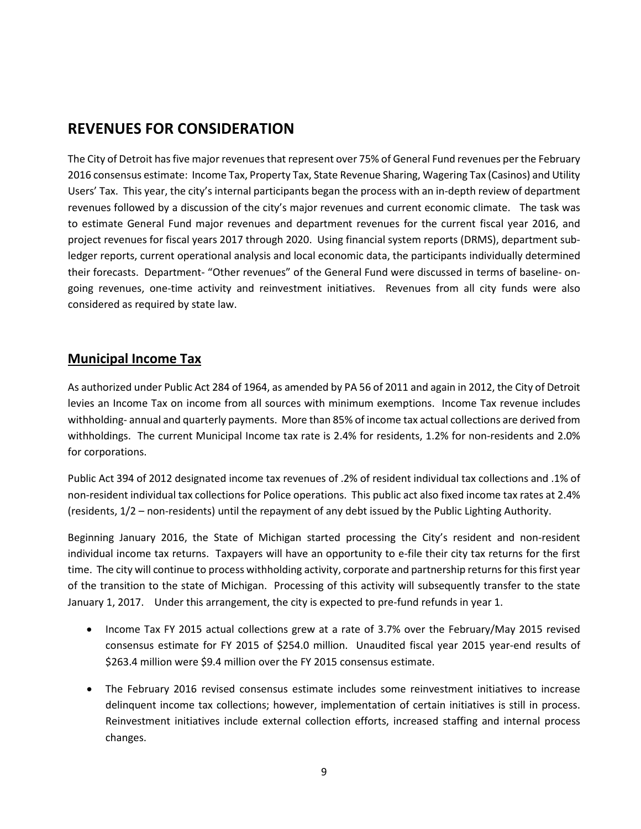# **REVENUES FOR CONSIDERATION**

The City of Detroit has five major revenues that represent over 75% of General Fund revenues per the February 2016 consensus estimate: Income Tax, Property Tax, State Revenue Sharing, Wagering Tax (Casinos) and Utility Users' Tax. This year, the city's internal participants began the process with an in-depth review of department revenues followed by a discussion of the city's major revenues and current economic climate. The task was to estimate General Fund major revenues and department revenues for the current fiscal year 2016, and project revenues for fiscal years 2017 through 2020. Using financial system reports (DRMS), department subledger reports, current operational analysis and local economic data, the participants individually determined their forecasts. Department- "Other revenues" of the General Fund were discussed in terms of baseline- ongoing revenues, one-time activity and reinvestment initiatives. Revenues from all city funds were also considered as required by state law.

### **Municipal Income Tax**

As authorized under Public Act 284 of 1964, as amended by PA 56 of 2011 and again in 2012, the City of Detroit levies an Income Tax on income from all sources with minimum exemptions. Income Tax revenue includes withholding- annual and quarterly payments. More than 85% of income tax actual collections are derived from withholdings. The current Municipal Income tax rate is 2.4% for residents, 1.2% for non-residents and 2.0% for corporations.

Public Act 394 of 2012 designated income tax revenues of .2% of resident individual tax collections and .1% of non-resident individual tax collections for Police operations. This public act also fixed income tax rates at 2.4% (residents, 1/2 – non-residents) until the repayment of any debt issued by the Public Lighting Authority.

Beginning January 2016, the State of Michigan started processing the City's resident and non-resident individual income tax returns. Taxpayers will have an opportunity to e-file their city tax returns for the first time. The city will continue to process withholding activity, corporate and partnership returnsfor this first year of the transition to the state of Michigan. Processing of this activity will subsequently transfer to the state January 1, 2017. Under this arrangement, the city is expected to pre-fund refunds in year 1.

- Income Tax FY 2015 actual collections grew at a rate of 3.7% over the February/May 2015 revised consensus estimate for FY 2015 of \$254.0 million. Unaudited fiscal year 2015 year-end results of \$263.4 million were \$9.4 million over the FY 2015 consensus estimate.
- The February 2016 revised consensus estimate includes some reinvestment initiatives to increase delinquent income tax collections; however, implementation of certain initiatives is still in process. Reinvestment initiatives include external collection efforts, increased staffing and internal process changes.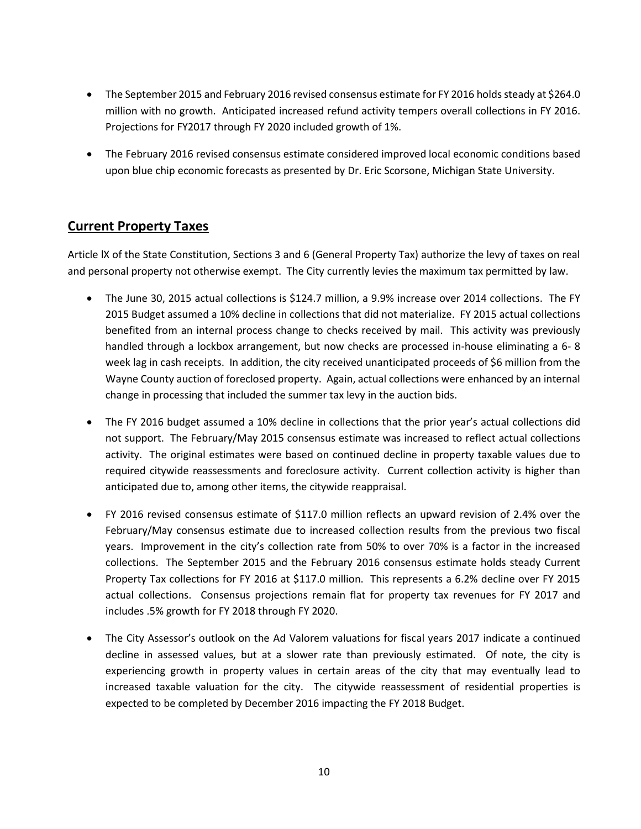- The September 2015 and February 2016 revised consensus estimate for FY 2016 holds steady at \$264.0 million with no growth. Anticipated increased refund activity tempers overall collections in FY 2016. Projections for FY2017 through FY 2020 included growth of 1%.
- The February 2016 revised consensus estimate considered improved local economic conditions based upon blue chip economic forecasts as presented by Dr. Eric Scorsone, Michigan State University.

### **Current Property Taxes**

Article lX of the State Constitution, Sections 3 and 6 (General Property Tax) authorize the levy of taxes on real and personal property not otherwise exempt. The City currently levies the maximum tax permitted by law.

- The June 30, 2015 actual collections is \$124.7 million, a 9.9% increase over 2014 collections. The FY 2015 Budget assumed a 10% decline in collections that did not materialize. FY 2015 actual collections benefited from an internal process change to checks received by mail. This activity was previously handled through a lockbox arrangement, but now checks are processed in-house eliminating a 6- 8 week lag in cash receipts. In addition, the city received unanticipated proceeds of \$6 million from the Wayne County auction of foreclosed property. Again, actual collections were enhanced by an internal change in processing that included the summer tax levy in the auction bids.
- The FY 2016 budget assumed a 10% decline in collections that the prior year's actual collections did not support. The February/May 2015 consensus estimate was increased to reflect actual collections activity. The original estimates were based on continued decline in property taxable values due to required citywide reassessments and foreclosure activity. Current collection activity is higher than anticipated due to, among other items, the citywide reappraisal.
- FY 2016 revised consensus estimate of \$117.0 million reflects an upward revision of 2.4% over the February/May consensus estimate due to increased collection results from the previous two fiscal years. Improvement in the city's collection rate from 50% to over 70% is a factor in the increased collections. The September 2015 and the February 2016 consensus estimate holds steady Current Property Tax collections for FY 2016 at \$117.0 million. This represents a 6.2% decline over FY 2015 actual collections. Consensus projections remain flat for property tax revenues for FY 2017 and includes .5% growth for FY 2018 through FY 2020.
- The City Assessor's outlook on the Ad Valorem valuations for fiscal years 2017 indicate a continued decline in assessed values, but at a slower rate than previously estimated. Of note, the city is experiencing growth in property values in certain areas of the city that may eventually lead to increased taxable valuation for the city. The citywide reassessment of residential properties is expected to be completed by December 2016 impacting the FY 2018 Budget.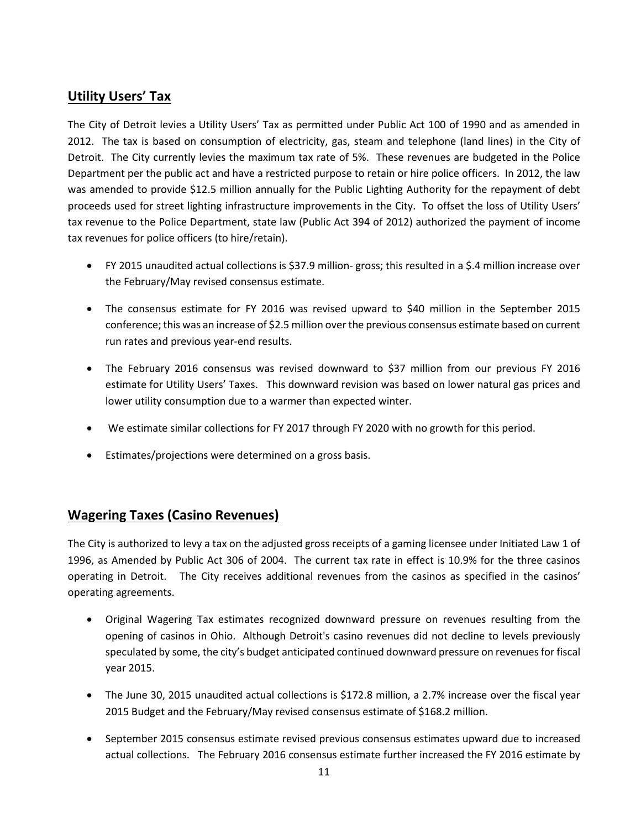### **Utility Users' Tax**

The City of Detroit levies a Utility Users' Tax as permitted under Public Act 100 of 1990 and as amended in 2012. The tax is based on consumption of electricity, gas, steam and telephone (land lines) in the City of Detroit. The City currently levies the maximum tax rate of 5%. These revenues are budgeted in the Police Department per the public act and have a restricted purpose to retain or hire police officers. In 2012, the law was amended to provide \$12.5 million annually for the Public Lighting Authority for the repayment of debt proceeds used for street lighting infrastructure improvements in the City. To offset the loss of Utility Users' tax revenue to the Police Department, state law (Public Act 394 of 2012) authorized the payment of income tax revenues for police officers (to hire/retain).

- FY 2015 unaudited actual collections is \$37.9 million- gross; this resulted in a \$.4 million increase over the February/May revised consensus estimate.
- The consensus estimate for FY 2016 was revised upward to \$40 million in the September 2015 conference; this was an increase of \$2.5 million over the previous consensus estimate based on current run rates and previous year-end results.
- The February 2016 consensus was revised downward to \$37 million from our previous FY 2016 estimate for Utility Users' Taxes. This downward revision was based on lower natural gas prices and lower utility consumption due to a warmer than expected winter.
- We estimate similar collections for FY 2017 through FY 2020 with no growth for this period.
- Estimates/projections were determined on a gross basis.

### **Wagering Taxes (Casino Revenues)**

The City is authorized to levy a tax on the adjusted gross receipts of a gaming licensee under Initiated Law 1 of 1996, as Amended by Public Act 306 of 2004. The current tax rate in effect is 10.9% for the three casinos operating in Detroit. The City receives additional revenues from the casinos as specified in the casinos' operating agreements.

- Original Wagering Tax estimates recognized downward pressure on revenues resulting from the opening of casinos in Ohio. Although Detroit's casino revenues did not decline to levels previously speculated by some, the city's budget anticipated continued downward pressure on revenues for fiscal year 2015.
- The June 30, 2015 unaudited actual collections is \$172.8 million, a 2.7% increase over the fiscal year 2015 Budget and the February/May revised consensus estimate of \$168.2 million.
- September 2015 consensus estimate revised previous consensus estimates upward due to increased actual collections. The February 2016 consensus estimate further increased the FY 2016 estimate by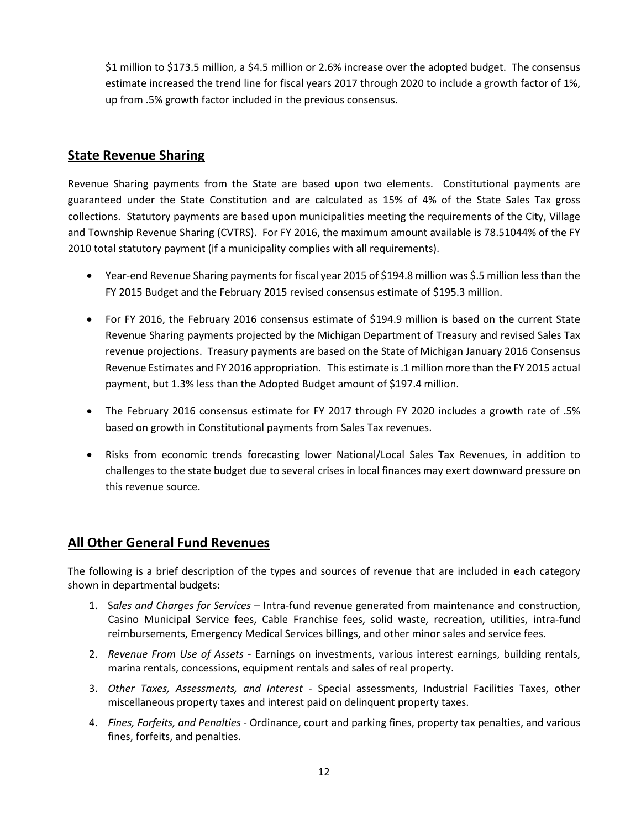\$1 million to \$173.5 million, a \$4.5 million or 2.6% increase over the adopted budget. The consensus estimate increased the trend line for fiscal years 2017 through 2020 to include a growth factor of 1%, up from .5% growth factor included in the previous consensus.

### **State Revenue Sharing**

Revenue Sharing payments from the State are based upon two elements. Constitutional payments are guaranteed under the State Constitution and are calculated as 15% of 4% of the State Sales Tax gross collections. Statutory payments are based upon municipalities meeting the requirements of the City, Village and Township Revenue Sharing (CVTRS). For FY 2016, the maximum amount available is 78.51044% of the FY 2010 total statutory payment (if a municipality complies with all requirements).

- Year-end Revenue Sharing payments for fiscal year 2015 of \$194.8 million was \$.5 million less than the FY 2015 Budget and the February 2015 revised consensus estimate of \$195.3 million.
- For FY 2016, the February 2016 consensus estimate of \$194.9 million is based on the current State Revenue Sharing payments projected by the Michigan Department of Treasury and revised Sales Tax revenue projections. Treasury payments are based on the State of Michigan January 2016 Consensus Revenue Estimates and FY 2016 appropriation. This estimate is .1 million more than the FY 2015 actual payment, but 1.3% less than the Adopted Budget amount of \$197.4 million.
- The February 2016 consensus estimate for FY 2017 through FY 2020 includes a growth rate of .5% based on growth in Constitutional payments from Sales Tax revenues.
- Risks from economic trends forecasting lower National/Local Sales Tax Revenues, in addition to challenges to the state budget due to several crises in local finances may exert downward pressure on this revenue source.

### **All Other General Fund Revenues**

The following is a brief description of the types and sources of revenue that are included in each category shown in departmental budgets:

- 1. S*ales and Charges for Services* Intra-fund revenue generated from maintenance and construction, Casino Municipal Service fees, Cable Franchise fees, solid waste, recreation, utilities, intra-fund reimbursements, Emergency Medical Services billings, and other minor sales and service fees.
- 2. *Revenue From Use of Assets*  Earnings on investments, various interest earnings, building rentals, marina rentals, concessions, equipment rentals and sales of real property.
- 3. *Other Taxes, Assessments, and Interest* Special assessments, Industrial Facilities Taxes, other miscellaneous property taxes and interest paid on delinquent property taxes.
- 4. *Fines, Forfeits, and Penalties* Ordinance, court and parking fines, property tax penalties, and various fines, forfeits, and penalties.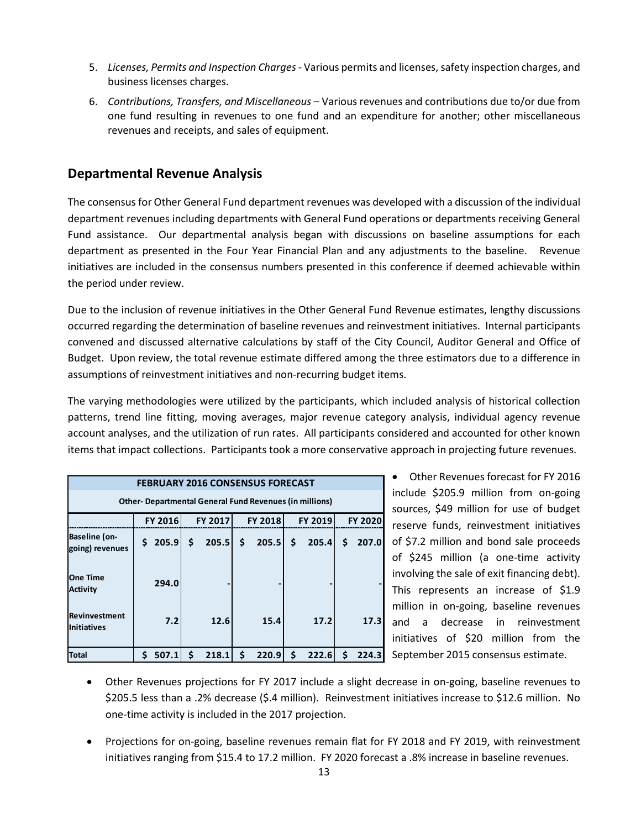- 5. *Licenses, Permits and Inspection Charges -* Various permits and licenses, safety inspection charges, and business licenses charges.
- 6. *Contributions, Transfers, and Miscellaneous*  Various revenues and contributions due to/or due from one fund resulting in revenues to one fund and an expenditure for another; other miscellaneous revenues and receipts, and sales of equipment.

### **Departmental Revenue Analysis**

The consensus for Other General Fund department revenues was developed with a discussion of the individual department revenues including departments with General Fund operations or departments receiving General Fund assistance. Our departmental analysis began with discussions on baseline assumptions for each department as presented in the Four Year Financial Plan and any adjustments to the baseline. Revenue initiatives are included in the consensus numbers presented in this conference if deemed achievable within the period under review.

Due to the inclusion of revenue initiatives in the Other General Fund Revenue estimates, lengthy discussions occurred regarding the determination of baseline revenues and reinvestment initiatives. Internal participants convened and discussed alternative calculations by staff of the City Council, Auditor General and Office of Budget. Upon review, the total revenue estimate differed among the three estimators due to a difference in assumptions of reinvestment initiatives and non-recurring budget items.

The varying methodologies were utilized by the participants, which included analysis of historical collection patterns, trend line fitting, moving averages, major revenue category analysis, individual agency revenue account analyses, and the utilization of run rates. All participants considered and accounted for other known items that impact collections. Participants took a more conservative approach in projecting future revenues.

| <b>FEBRUARY 2016 CONSENSUS FORECAST</b>                        |                                                                          |             |             |             |            |  |  |  |  |  |  |  |  |
|----------------------------------------------------------------|--------------------------------------------------------------------------|-------------|-------------|-------------|------------|--|--|--|--|--|--|--|--|
| <b>Other- Departmental General Fund Revenues (in millions)</b> |                                                                          |             |             |             |            |  |  |  |  |  |  |  |  |
|                                                                | <b>FY 2016</b><br>FY 2017<br><b>FY 2018</b><br>FY 2019<br><b>FY 2020</b> |             |             |             |            |  |  |  |  |  |  |  |  |
| Baseline (on-<br>going) revenues                               | 205.9<br>Ś.                                                              | \$<br>205.5 | \$<br>205.5 | \$<br>205.4 | 207.0<br>Ś |  |  |  |  |  |  |  |  |
| <b>One Time</b><br><b>Activity</b>                             | 294.0                                                                    |             |             |             |            |  |  |  |  |  |  |  |  |
| Revinvestment<br><b>Initiatives</b>                            | 7.2                                                                      | 12.6        | 15.4        | 17.2        | 17.3       |  |  |  |  |  |  |  |  |
| <b>Total</b>                                                   | Ś<br>507.1                                                               | \$<br>218.1 | \$<br>220.9 | \$<br>222.6 | Ś<br>224.3 |  |  |  |  |  |  |  |  |

• Other Revenues forecast for FY 2016 include \$205.9 million from on-going sources, \$49 million for use of budget reserve funds, reinvestment initiatives of \$7.2 million and bond sale proceeds of \$245 million (a one-time activity involving the sale of exit financing debt). This represents an increase of \$1.9 million in on-going, baseline revenues and a decrease in reinvestment initiatives of \$20 million from the September 2015 consensus estimate.

- Other Revenues projections for FY 2017 include a slight decrease in on-going, baseline revenues to \$205.5 less than a .2% decrease (\$.4 million). Reinvestment initiatives increase to \$12.6 million. No one-time activity is included in the 2017 projection.
- Projections for on-going, baseline revenues remain flat for FY 2018 and FY 2019, with reinvestment initiatives ranging from \$15.4 to 17.2 million. FY 2020 forecast a .8% increase in baseline revenues.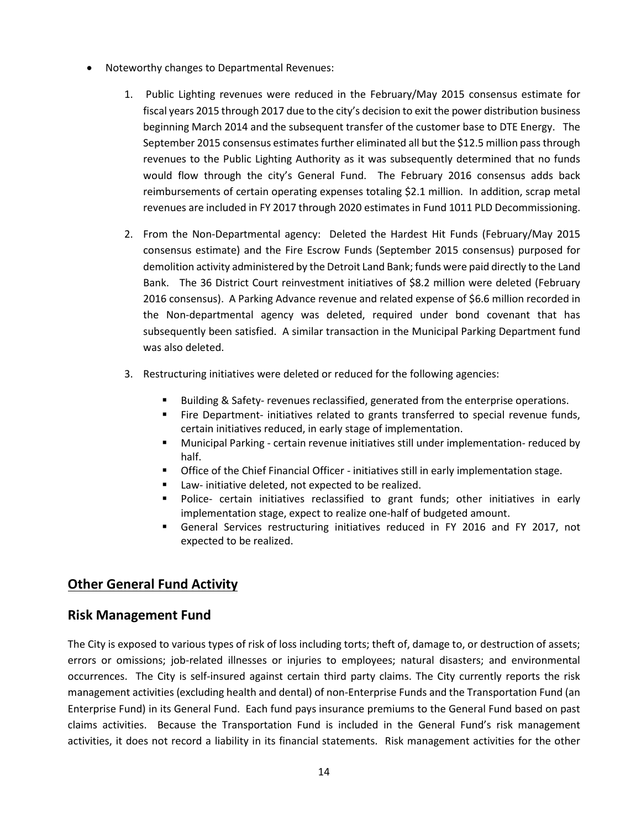- Noteworthy changes to Departmental Revenues:
	- 1. Public Lighting revenues were reduced in the February/May 2015 consensus estimate for fiscal years 2015 through 2017 due to the city's decision to exit the power distribution business beginning March 2014 and the subsequent transfer of the customer base to DTE Energy. The September 2015 consensus estimates further eliminated all but the \$12.5 million pass through revenues to the Public Lighting Authority as it was subsequently determined that no funds would flow through the city's General Fund. The February 2016 consensus adds back reimbursements of certain operating expenses totaling \$2.1 million. In addition, scrap metal revenues are included in FY 2017 through 2020 estimates in Fund 1011 PLD Decommissioning.
	- 2. From the Non-Departmental agency: Deleted the Hardest Hit Funds (February/May 2015 consensus estimate) and the Fire Escrow Funds (September 2015 consensus) purposed for demolition activity administered by the Detroit Land Bank; funds were paid directly to the Land Bank. The 36 District Court reinvestment initiatives of \$8.2 million were deleted (February 2016 consensus). A Parking Advance revenue and related expense of \$6.6 million recorded in the Non-departmental agency was deleted, required under bond covenant that has subsequently been satisfied. A similar transaction in the Municipal Parking Department fund was also deleted.
	- 3. Restructuring initiatives were deleted or reduced for the following agencies:
		- Building & Safety- revenues reclassified, generated from the enterprise operations.
		- **Fire Department- initiatives related to grants transferred to special revenue funds,** certain initiatives reduced, in early stage of implementation.
		- **Municipal Parking certain revenue initiatives still under implementation- reduced by** half.
		- **Office of the Chief Financial Officer initiatives still in early implementation stage.**
		- **E** Law- initiative deleted, not expected to be realized.
		- **Police-** certain initiatives reclassified to grant funds; other initiatives in early implementation stage, expect to realize one-half of budgeted amount.
		- General Services restructuring initiatives reduced in FY 2016 and FY 2017, not expected to be realized.

### **Other General Fund Activity**

#### **Risk Management Fund**

The City is exposed to various types of risk of loss including torts; theft of, damage to, or destruction of assets; errors or omissions; job-related illnesses or injuries to employees; natural disasters; and environmental occurrences. The City is self-insured against certain third party claims. The City currently reports the risk management activities (excluding health and dental) of non-Enterprise Funds and the Transportation Fund (an Enterprise Fund) in its General Fund. Each fund pays insurance premiums to the General Fund based on past claims activities. Because the Transportation Fund is included in the General Fund's risk management activities, it does not record a liability in its financial statements. Risk management activities for the other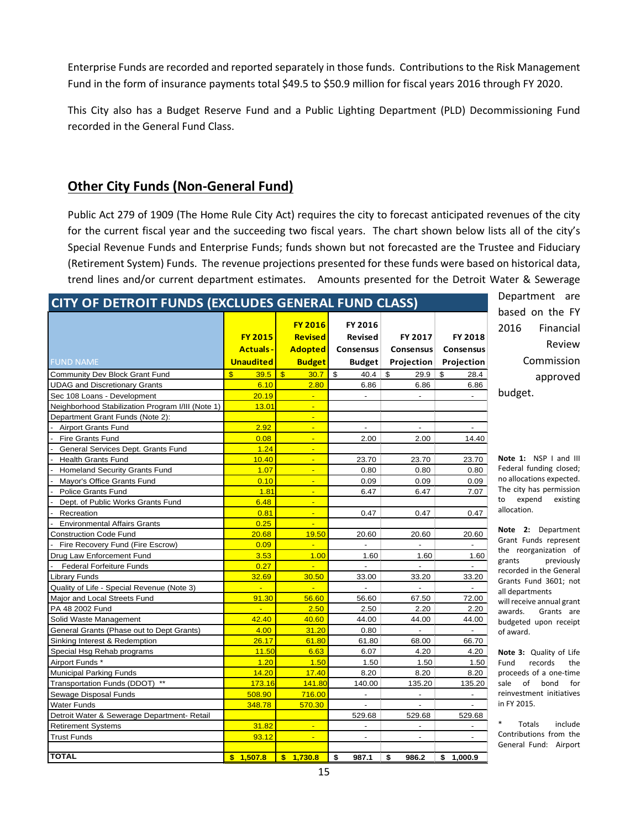Enterprise Funds are recorded and reported separately in those funds. Contributions to the Risk Management Fund in the form of insurance payments total \$49.5 to \$50.9 million for fiscal years 2016 through FY 2020.

This City also has a Budget Reserve Fund and a Public Lighting Department (PLD) Decommissioning Fund recorded in the General Fund Class.

### **Other City Funds (Non-General Fund)**

Public Act 279 of 1909 (The Home Rule City Act) requires the city to forecast anticipated revenues of the city for the current fiscal year and the succeeding two fiscal years. The chart shown below lists all of the city's Special Revenue Funds and Enterprise Funds; funds shown but not forecasted are the Trustee and Fiduciary (Retirement System) Funds. The revenue projections presented for these funds were based on historical data, trend lines and/or current department estimates. Amounts presented for the Detroit Water & Sewerage

| CITY OF DETROIT FUNDS (EXCLUDES GENERAL FUND CLASS) | Department are       |                      |                          |                  |                          |                                                 |  |  |  |  |  |  |
|-----------------------------------------------------|----------------------|----------------------|--------------------------|------------------|--------------------------|-------------------------------------------------|--|--|--|--|--|--|
| based on the FY                                     |                      |                      |                          |                  |                          |                                                 |  |  |  |  |  |  |
|                                                     |                      | <b>FY 2016</b>       | FY 2016                  |                  |                          | 2016<br>Financial                               |  |  |  |  |  |  |
|                                                     | <b>FY 2015</b>       | <b>Revised</b>       | Revised                  | FY 2017          | FY 2018                  |                                                 |  |  |  |  |  |  |
|                                                     | <b>Actuals-</b>      | <b>Adopted</b>       | <b>Consensus</b>         | <b>Consensus</b> | <b>Consensus</b>         | Review                                          |  |  |  |  |  |  |
| <b>FUND NAME</b>                                    | <b>Unaudited</b>     | <b>Budget</b>        | <b>Budget</b>            | Projection       | Projection               | Commission                                      |  |  |  |  |  |  |
| Community Dev Block Grant Fund                      | $\mathbf{s}$<br>39.5 | $\mathbf{s}$<br>30.7 | - \$                     | 29.9             | \$<br>28.4               | approved                                        |  |  |  |  |  |  |
| <b>UDAG and Discretionary Grants</b>                | 6.10                 | 2.80                 | 6.86                     | 6.86             | 6.86                     |                                                 |  |  |  |  |  |  |
| Sec 108 Loans - Development                         | 20.19                | u.                   | $\omega$                 | $\blacksquare$   | $\sim$                   | budget.                                         |  |  |  |  |  |  |
| Neighborhood Stabilization Program I/III (Note 1)   | 13.01                | ÷.                   |                          |                  |                          |                                                 |  |  |  |  |  |  |
| Department Grant Funds (Note 2):                    |                      | ÷                    |                          |                  |                          |                                                 |  |  |  |  |  |  |
| <b>Airport Grants Fund</b>                          | 2.92                 | ÷.                   | $\blacksquare$           | $\omega$         | $\overline{a}$           |                                                 |  |  |  |  |  |  |
| Fire Grants Fund                                    | 0.08                 | ÷.                   | 2.00                     | 2.00             | 14.40                    |                                                 |  |  |  |  |  |  |
| General Services Dept. Grants Fund                  | 1.24                 | ÷.                   |                          |                  |                          |                                                 |  |  |  |  |  |  |
| <b>Health Grants Fund</b>                           | 10.40                | ÷.                   | 23.70                    | 23.70            | 23.70                    | Note 1: NSP I and III                           |  |  |  |  |  |  |
| Homeland Security Grants Fund                       | 1.07                 | ÷                    | 0.80                     | 0.80             | 0.80                     | Federal funding closed;                         |  |  |  |  |  |  |
| Mayor's Office Grants Fund                          | 0.10                 | ÷                    | 0.09                     | 0.09             | 0.09                     | no allocations expected.                        |  |  |  |  |  |  |
| <b>Police Grants Fund</b>                           | 1.81                 | ÷.                   | 6.47                     | 6.47             | 7.07                     | The city has permission                         |  |  |  |  |  |  |
| Dept. of Public Works Grants Fund                   | 6.48                 |                      |                          |                  |                          | expend<br>existing<br>to                        |  |  |  |  |  |  |
| Recreation                                          | 0.81                 | ÷.                   | 0.47                     | 0.47             | 0.47                     | allocation.                                     |  |  |  |  |  |  |
| <b>Environmental Affairs Grants</b>                 | 0.25                 | ÷.                   |                          |                  |                          |                                                 |  |  |  |  |  |  |
| <b>Construction Code Fund</b>                       | 20.68                | 19.50                | 20.60                    | 20.60            | 20.60                    | Note 2: Department                              |  |  |  |  |  |  |
| Fire Recovery Fund (Fire Escrow)                    | 0.09                 | ÷.                   |                          | $\overline{a}$   |                          | Grant Funds represent                           |  |  |  |  |  |  |
| Drug Law Enforcement Fund                           | 3.53                 | 1.00                 | 1.60                     | 1.60             | 1.60                     | the reorganization of                           |  |  |  |  |  |  |
| <b>Federal Forfeiture Funds</b>                     | 0.27                 | ÷                    |                          |                  | $\overline{a}$           | previously<br>grants<br>recorded in the General |  |  |  |  |  |  |
| Library Funds                                       | 32.69                | 30.50                | 33.00                    | 33.20            | 33.20                    | Grants Fund 3601; not                           |  |  |  |  |  |  |
| Quality of Life - Special Revenue (Note 3)          | $\mathbf{L}$         | ÷.                   | $\blacksquare$           | $\blacksquare$   | $\sim$                   | all departments                                 |  |  |  |  |  |  |
| Major and Local Streets Fund                        | 91.30                | 56.60                | 56.60                    | 67.50            | 72.00                    | will receive annual grant                       |  |  |  |  |  |  |
| PA 48 2002 Fund                                     | <b>Ca</b>            | 2.50                 | 2.50                     | 2.20             | 2.20                     | Grants are<br>awards.                           |  |  |  |  |  |  |
| Solid Waste Management                              | 42.40                | 40.60                | 44.00                    | 44.00            | 44.00                    | budgeted upon receipt                           |  |  |  |  |  |  |
| General Grants (Phase out to Dept Grants)           | 4.00                 | 31.20                | 0.80                     |                  | $\overline{\phantom{a}}$ | of award.                                       |  |  |  |  |  |  |
| Sinking Interest & Redemption                       | 26.17                | 61.80                | 61.80                    | 68.00            | 66.70                    |                                                 |  |  |  |  |  |  |
| Special Hsg Rehab programs                          | 11.50                | 6.63                 | 6.07                     | 4.20             | 4.20                     | Note 3: Quality of Life                         |  |  |  |  |  |  |
| Airport Funds *                                     | 1.20                 | 1.50                 | 1.50                     | 1.50             | 1.50                     | Fund<br>records<br>the                          |  |  |  |  |  |  |
| <b>Municipal Parking Funds</b>                      | 14.20                | 17.40                | 8.20                     | 8.20             | 8.20                     | proceeds of a one-time                          |  |  |  |  |  |  |
| $\star\star$<br>Transportation Funds (DDOT)         | 173.16               | 141.80               | 140.00                   | 135.20           | 135.20                   | sale<br>of<br>bond<br>for                       |  |  |  |  |  |  |
| <b>Sewage Disposal Funds</b>                        | 508.90               | 716.00               | $\overline{\phantom{a}}$ | $\blacksquare$   | $\blacksquare$           | reinvestment initiatives                        |  |  |  |  |  |  |
| <b>Water Funds</b>                                  | 348.78               | 570.30               | $\blacksquare$           | $\overline{a}$   | $\overline{\phantom{a}}$ | in FY 2015.                                     |  |  |  |  |  |  |
| Detroit Water & Sewerage Department- Retail         |                      |                      | 529.68                   | 529.68           | 529.68                   |                                                 |  |  |  |  |  |  |
| <b>Retirement Systems</b>                           | 31.82                | ÷.                   | $\blacksquare$           | $\blacksquare$   |                          | *<br>Totals<br>include                          |  |  |  |  |  |  |
| <b>Trust Funds</b>                                  | 93.12                | ÷                    | $\overline{\phantom{a}}$ | $\sim$           | $\overline{a}$           | Contributions from the                          |  |  |  |  |  |  |
|                                                     |                      |                      |                          |                  |                          | General Fund: Airport                           |  |  |  |  |  |  |
| <b>TOTAL</b>                                        | \$1,507.8            | \$1,730.8            | \$<br>987.1              | 986.2<br>\$      | \$1,000.9                |                                                 |  |  |  |  |  |  |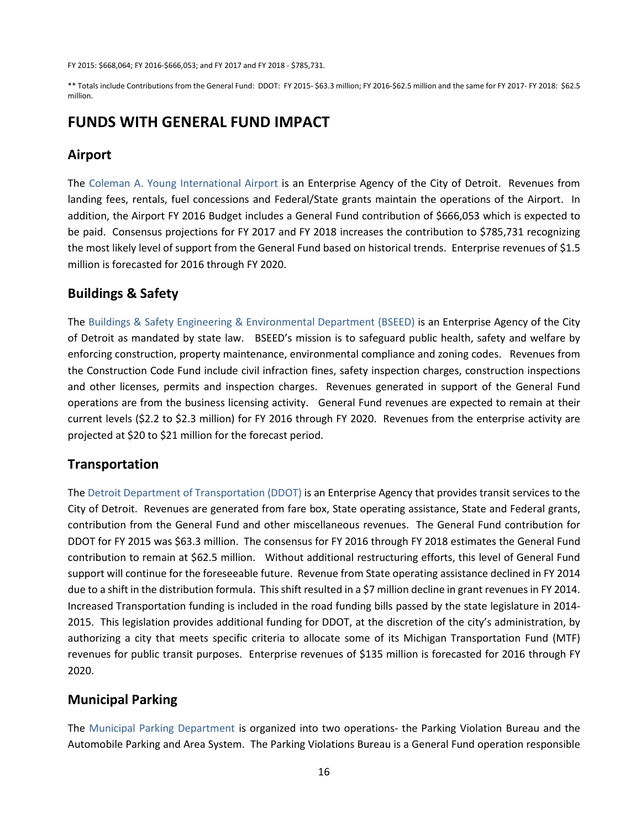FY 2015: \$668,064; FY 2016-\$666,053; and FY 2017 and FY 2018 - \$785,731.

\*\* Totals include Contributions from the General Fund: DDOT: FY 2015- \$63.3 million; FY 2016-\$62.5 million and the same for FY 2017- FY 2018: \$62.5 million.

### **FUNDS WITH GENERAL FUND IMPACT**

### **Airport**

The Coleman A. Young International Airport is an Enterprise Agency of the City of Detroit. Revenues from landing fees, rentals, fuel concessions and Federal/State grants maintain the operations of the Airport. In addition, the Airport FY 2016 Budget includes a General Fund contribution of \$666,053 which is expected to be paid. Consensus projections for FY 2017 and FY 2018 increases the contribution to \$785,731 recognizing the most likely level of support from the General Fund based on historical trends. Enterprise revenues of \$1.5 million is forecasted for 2016 through FY 2020.

### **Buildings & Safety**

The Buildings & Safety Engineering & Environmental Department (BSEED) is an Enterprise Agency of the City of Detroit as mandated by state law. BSEED's mission is to safeguard public health, safety and welfare by enforcing construction, property maintenance, environmental compliance and zoning codes. Revenues from the Construction Code Fund include civil infraction fines, safety inspection charges, construction inspections and other licenses, permits and inspection charges. Revenues generated in support of the General Fund operations are from the business licensing activity. General Fund revenues are expected to remain at their current levels (\$2.2 to \$2.3 million) for FY 2016 through FY 2020. Revenues from the enterprise activity are projected at \$20 to \$21 million for the forecast period.

#### **Transportation**

The Detroit Department of Transportation (DDOT) is an Enterprise Agency that provides transit services to the City of Detroit. Revenues are generated from fare box, State operating assistance, State and Federal grants, contribution from the General Fund and other miscellaneous revenues. The General Fund contribution for DDOT for FY 2015 was \$63.3 million. The consensus for FY 2016 through FY 2018 estimates the General Fund contribution to remain at \$62.5 million. Without additional restructuring efforts, this level of General Fund support will continue for the foreseeable future. Revenue from State operating assistance declined in FY 2014 due to a shift in the distribution formula. This shift resulted in a \$7 million decline in grant revenues in FY 2014. Increased Transportation funding is included in the road funding bills passed by the state legislature in 2014- 2015. This legislation provides additional funding for DDOT, at the discretion of the city's administration, by authorizing a city that meets specific criteria to allocate some of its Michigan Transportation Fund (MTF) revenues for public transit purposes. Enterprise revenues of \$135 million is forecasted for 2016 through FY 2020.

#### **Municipal Parking**

The Municipal Parking Department is organized into two operations- the Parking Violation Bureau and the Automobile Parking and Area System. The Parking Violations Bureau is a General Fund operation responsible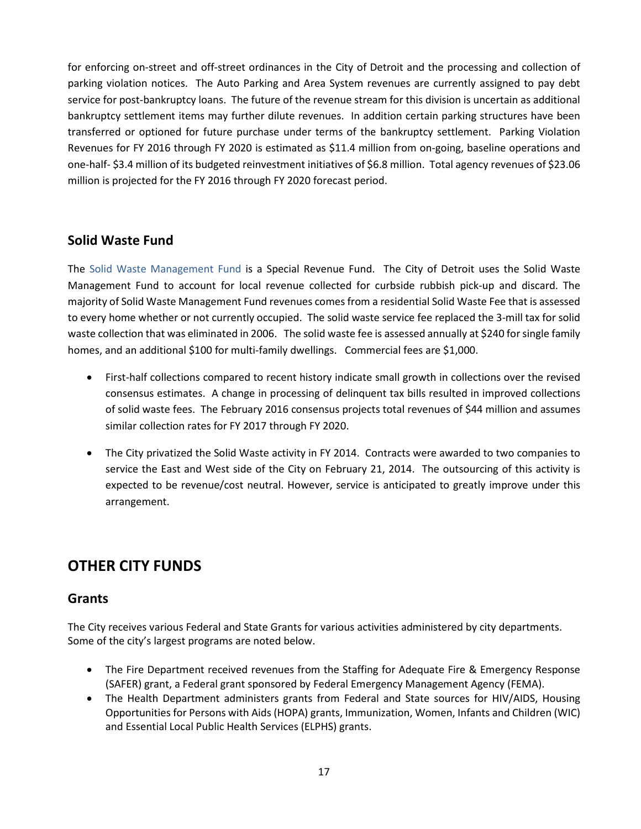for enforcing on-street and off-street ordinances in the City of Detroit and the processing and collection of parking violation notices. The Auto Parking and Area System revenues are currently assigned to pay debt service for post-bankruptcy loans. The future of the revenue stream for this division is uncertain as additional bankruptcy settlement items may further dilute revenues. In addition certain parking structures have been transferred or optioned for future purchase under terms of the bankruptcy settlement. Parking Violation Revenues for FY 2016 through FY 2020 is estimated as \$11.4 million from on-going, baseline operations and one-half- \$3.4 million of its budgeted reinvestment initiatives of \$6.8 million. Total agency revenues of \$23.06 million is projected for the FY 2016 through FY 2020 forecast period.

### **Solid Waste Fund**

The Solid Waste Management Fund is a Special Revenue Fund. The City of Detroit uses the Solid Waste Management Fund to account for local revenue collected for curbside rubbish pick-up and discard. The majority of Solid Waste Management Fund revenues comes from a residential Solid Waste Fee that is assessed to every home whether or not currently occupied. The solid waste service fee replaced the 3-mill tax for solid waste collection that was eliminated in 2006. The solid waste fee is assessed annually at \$240 for single family homes, and an additional \$100 for multi-family dwellings. Commercial fees are \$1,000.

- First-half collections compared to recent history indicate small growth in collections over the revised consensus estimates. A change in processing of delinquent tax bills resulted in improved collections of solid waste fees. The February 2016 consensus projects total revenues of \$44 million and assumes similar collection rates for FY 2017 through FY 2020.
- The City privatized the Solid Waste activity in FY 2014. Contracts were awarded to two companies to service the East and West side of the City on February 21, 2014. The outsourcing of this activity is expected to be revenue/cost neutral. However, service is anticipated to greatly improve under this arrangement.

# **OTHER CITY FUNDS**

### **Grants**

The City receives various Federal and State Grants for various activities administered by city departments. Some of the city's largest programs are noted below.

- The Fire Department received revenues from the Staffing for Adequate Fire & Emergency Response (SAFER) grant, a Federal grant sponsored by Federal Emergency Management Agency (FEMA).
- The Health Department administers grants from Federal and State sources for HIV/AIDS, Housing Opportunities for Persons with Aids (HOPA) grants, Immunization, Women, Infants and Children (WIC) and Essential Local Public Health Services (ELPHS) grants.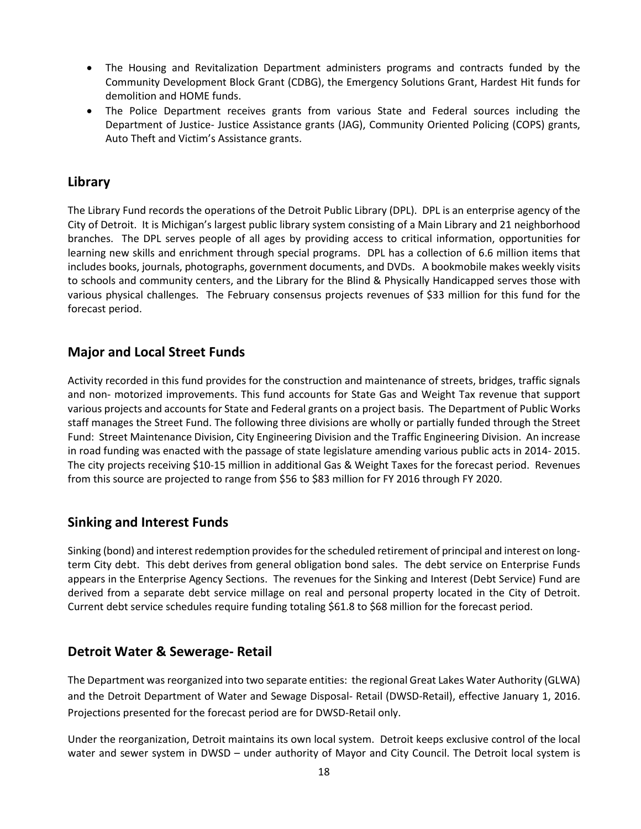- The Housing and Revitalization Department administers programs and contracts funded by the Community Development Block Grant (CDBG), the Emergency Solutions Grant, Hardest Hit funds for demolition and HOME funds.
- The Police Department receives grants from various State and Federal sources including the Department of Justice- Justice Assistance grants (JAG), Community Oriented Policing (COPS) grants, Auto Theft and Victim's Assistance grants.

#### **Library**

The Library Fund records the operations of the Detroit Public Library (DPL). DPL is an enterprise agency of the City of Detroit. It is Michigan's largest public library system consisting of a Main Library and 21 neighborhood branches. The DPL serves people of all ages by providing access to critical information, opportunities for learning new skills and enrichment through special programs. DPL has a collection of 6.6 million items that includes books, journals, photographs, government documents, and DVDs. A bookmobile makes weekly visits to schools and community centers, and the Library for the Blind & Physically Handicapped serves those with various physical challenges. The February consensus projects revenues of \$33 million for this fund for the forecast period.

### **Major and Local Street Funds**

Activity recorded in this fund provides for the construction and maintenance of streets, bridges, traffic signals and non- motorized improvements. This fund accounts for State Gas and Weight Tax revenue that support various projects and accounts for State and Federal grants on a project basis. The Department of Public Works staff manages the Street Fund. The following three divisions are wholly or partially funded through the Street Fund: Street Maintenance Division, City Engineering Division and the Traffic Engineering Division. An increase in road funding was enacted with the passage of state legislature amending various public acts in 2014- 2015. The city projects receiving \$10-15 million in additional Gas & Weight Taxes for the forecast period. Revenues from this source are projected to range from \$56 to \$83 million for FY 2016 through FY 2020.

### **Sinking and Interest Funds**

Sinking (bond) and interest redemption provides for the scheduled retirement of principal and interest on longterm City debt. This debt derives from general obligation bond sales. The debt service on Enterprise Funds appears in the Enterprise Agency Sections. The revenues for the Sinking and Interest (Debt Service) Fund are derived from a separate debt service millage on real and personal property located in the City of Detroit. Current debt service schedules require funding totaling \$61.8 to \$68 million for the forecast period.

### **Detroit Water & Sewerage- Retail**

The Department was reorganized into two separate entities: the regional Great Lakes Water Authority (GLWA) and the Detroit Department of Water and Sewage Disposal- Retail (DWSD-Retail), effective January 1, 2016. Projections presented for the forecast period are for DWSD-Retail only.

Under the reorganization, Detroit maintains its own local system. Detroit keeps exclusive control of the local water and sewer system in DWSD – under authority of Mayor and City Council. The Detroit local system is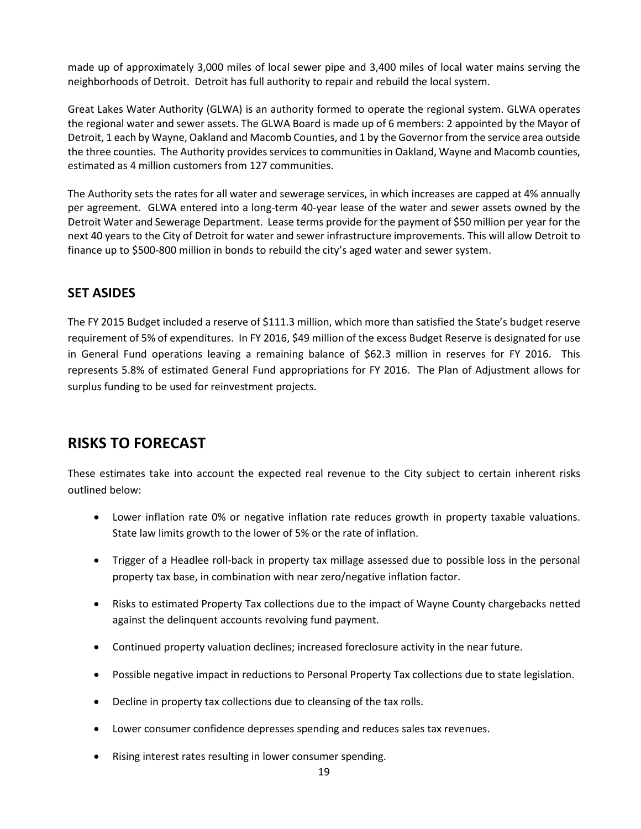made up of approximately 3,000 miles of local sewer pipe and 3,400 miles of local water mains serving the neighborhoods of Detroit. Detroit has full authority to repair and rebuild the local system.

Great Lakes Water Authority (GLWA) is an authority formed to operate the regional system. GLWA operates the regional water and sewer assets. The GLWA Board is made up of 6 members: 2 appointed by the Mayor of Detroit, 1 each by Wayne, Oakland and Macomb Counties, and 1 by the Governor from the service area outside the three counties. The Authority provides services to communities in Oakland, Wayne and Macomb counties, estimated as 4 million customers from 127 communities.

The Authority sets the rates for all water and sewerage services, in which increases are capped at 4% annually per agreement. GLWA entered into a long-term 40-year lease of the water and sewer assets owned by the Detroit Water and Sewerage Department. Lease terms provide for the payment of \$50 million per year for the next 40 years to the City of Detroit for water and sewer infrastructure improvements. This will allow Detroit to finance up to \$500-800 million in bonds to rebuild the city's aged water and sewer system.

### **SET ASIDES**

The FY 2015 Budget included a reserve of \$111.3 million, which more than satisfied the State's budget reserve requirement of 5% of expenditures. In FY 2016, \$49 million of the excess Budget Reserve is designated for use in General Fund operations leaving a remaining balance of \$62.3 million in reserves for FY 2016. This represents 5.8% of estimated General Fund appropriations for FY 2016. The Plan of Adjustment allows for surplus funding to be used for reinvestment projects.

# **RISKS TO FORECAST**

These estimates take into account the expected real revenue to the City subject to certain inherent risks outlined below:

- Lower inflation rate 0% or negative inflation rate reduces growth in property taxable valuations. State law limits growth to the lower of 5% or the rate of inflation.
- Trigger of a Headlee roll-back in property tax millage assessed due to possible loss in the personal property tax base, in combination with near zero/negative inflation factor.
- Risks to estimated Property Tax collections due to the impact of Wayne County chargebacks netted against the delinquent accounts revolving fund payment.
- Continued property valuation declines; increased foreclosure activity in the near future.
- Possible negative impact in reductions to Personal Property Tax collections due to state legislation.
- Decline in property tax collections due to cleansing of the tax rolls.
- Lower consumer confidence depresses spending and reduces sales tax revenues.
- Rising interest rates resulting in lower consumer spending.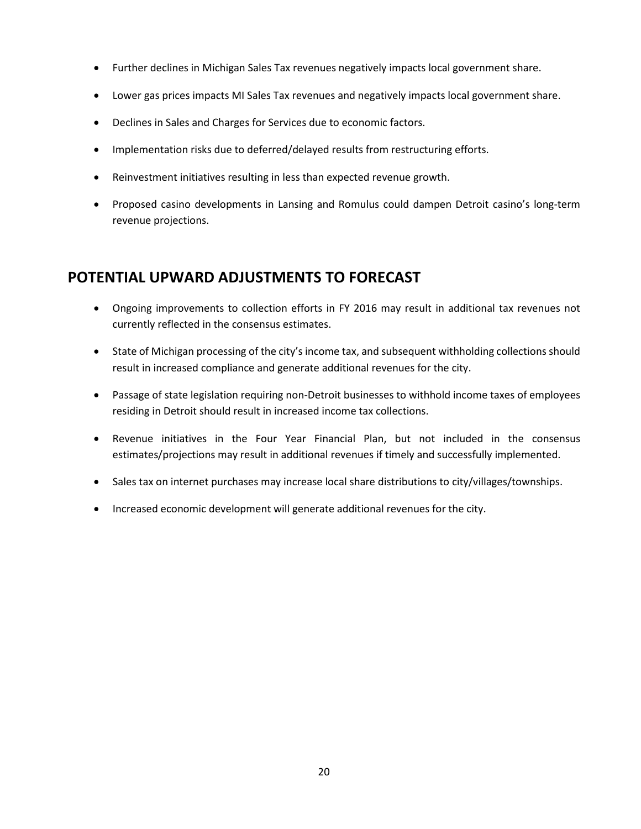- Further declines in Michigan Sales Tax revenues negatively impacts local government share.
- Lower gas prices impacts MI Sales Tax revenues and negatively impacts local government share.
- Declines in Sales and Charges for Services due to economic factors.
- Implementation risks due to deferred/delayed results from restructuring efforts.
- Reinvestment initiatives resulting in less than expected revenue growth.
- Proposed casino developments in Lansing and Romulus could dampen Detroit casino's long-term revenue projections.

# **POTENTIAL UPWARD ADJUSTMENTS TO FORECAST**

- Ongoing improvements to collection efforts in FY 2016 may result in additional tax revenues not currently reflected in the consensus estimates.
- State of Michigan processing of the city's income tax, and subsequent withholding collections should result in increased compliance and generate additional revenues for the city.
- Passage of state legislation requiring non-Detroit businesses to withhold income taxes of employees residing in Detroit should result in increased income tax collections.
- Revenue initiatives in the Four Year Financial Plan, but not included in the consensus estimates/projections may result in additional revenues if timely and successfully implemented.
- Sales tax on internet purchases may increase local share distributions to city/villages/townships.
- Increased economic development will generate additional revenues for the city.